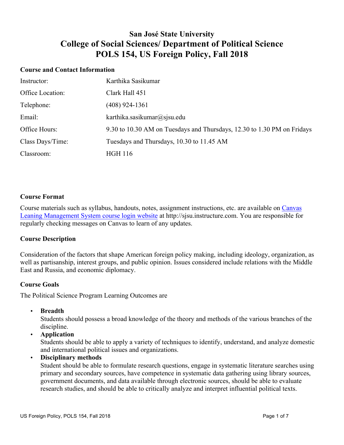## **San José State University College of Social Sciences/ Department of Political Science POLS 154, US Foreign Policy, Fall 2018**

#### **Course and Contact Information**

| Instructor:      | Karthika Sasikumar                                                      |
|------------------|-------------------------------------------------------------------------|
| Office Location: | Clark Hall 451                                                          |
| Telephone:       | $(408)$ 924-1361                                                        |
| Email:           | karthika.sasikumar@sjsu.edu                                             |
| Office Hours:    | 9.30 to 10.30 AM on Tuesdays and Thursdays, 12.30 to 1.30 PM on Fridays |
| Class Days/Time: | Tuesdays and Thursdays, 10.30 to 11.45 AM                               |
| Classroom:       | <b>HGH 116</b>                                                          |

#### **Course Format**

Course materials such as syllabus, handouts, notes, assignment instructions, etc. are available on Canvas Leaning Management System course login website at http://sjsu.instructure.com. You are responsible for regularly checking messages on Canvas to learn of any updates.

#### **Course Description**

Consideration of the factors that shape American foreign policy making, including ideology, organization, as well as partisanship, interest groups, and public opinion. Issues considered include relations with the Middle East and Russia, and economic diplomacy.

#### **Course Goals**

The Political Science Program Learning Outcomes are

• **Breadth**

Students should possess a broad knowledge of the theory and methods of the various branches of the discipline.

• **Application**

Students should be able to apply a variety of techniques to identify, understand, and analyze domestic and international political issues and organizations.

• **Disciplinary methods**

Student should be able to formulate research questions, engage in systematic literature searches using primary and secondary sources, have competence in systematic data gathering using library sources, government documents, and data available through electronic sources, should be able to evaluate research studies, and should be able to critically analyze and interpret influential political texts.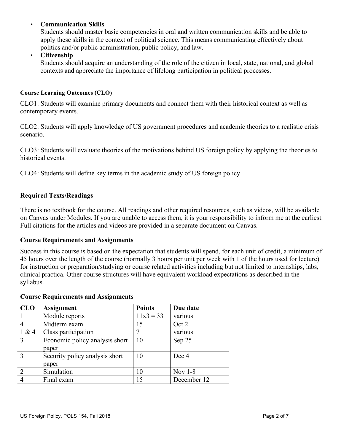## • **Communication Skills**

Students should master basic competencies in oral and written communication skills and be able to apply these skills in the context of political science. This means communicating effectively about politics and/or public administration, public policy, and law.

#### • **Citizenship**

Students should acquire an understanding of the role of the citizen in local, state, national, and global contexts and appreciate the importance of lifelong participation in political processes.

#### **Course Learning Outcomes (CLO)**

CLO1: Students will examine primary documents and connect them with their historical context as well as contemporary events.

CLO2: Students will apply knowledge of US government procedures and academic theories to a realistic crisis scenario.

CLO3: Students will evaluate theories of the motivations behind US foreign policy by applying the theories to historical events.

CLO4: Students will define key terms in the academic study of US foreign policy.

## **Required Texts/Readings**

There is no textbook for the course. All readings and other required resources, such as videos, will be available on Canvas under Modules. If you are unable to access them, it is your responsibility to inform me at the earliest. Full citations for the articles and videos are provided in a separate document on Canvas.

#### **Course Requirements and Assignments**

Success in this course is based on the expectation that students will spend, for each unit of credit, a minimum of 45 hours over the length of the course (normally 3 hours per unit per week with 1 of the hours used for lecture) for instruction or preparation/studying or course related activities including but not limited to internships, labs, clinical practica. Other course structures will have equivalent workload expectations as described in the syllabus.

| <b>CLO</b>    | <b>Assignment</b>              | <b>Points</b> | Due date    |
|---------------|--------------------------------|---------------|-------------|
|               | Module reports                 | $11x3 = 33$   | various     |
|               | Midterm exam                   | 15            | Oct 2       |
| 1 & 4         | Class participation            | 7             | various     |
| 3             | Economic policy analysis short | 10            | Sep 25      |
|               | paper                          |               |             |
| $\mathcal{R}$ | Security policy analysis short | 10            | Dec 4       |
|               | paper                          |               |             |
| 2             | Simulation                     | 10            | Nov $1-8$   |
|               | Final exam                     | 15            | December 12 |

#### **Course Requirements and Assignments**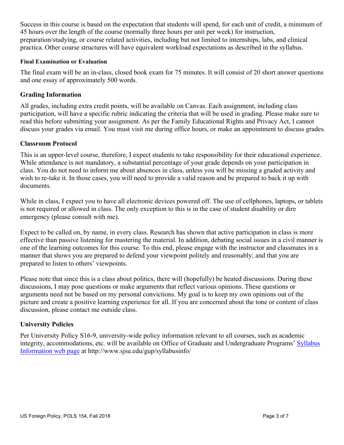Success in this course is based on the expectation that students will spend, for each unit of credit, a minimum of 45 hours over the length of the course (normally three hours per unit per week) for instruction, preparation/studying, or course related activities, including but not limited to internships, labs, and clinical practica. Other course structures will have equivalent workload expectations as described in the syllabus.

#### **Final Examination or Evaluation**

The final exam will be an in-class, closed book exam for 75 minutes. It will consist of 20 short answer questions and one essay of approximately 500 words.

## **Grading Information**

All grades, including extra credit points, will be available on Canvas. Each assignment, including class participation, will have a specific rubric indicating the criteria that will be used in grading. Please make sure to read this before submitting your assignment. As per the Family Educational Rights and Privacy Act, I cannot discuss your grades via email. You must visit me during office hours, or make an appointment to discuss grades.

## **Classroom Protocol**

This is an upper-level course, therefore, I expect students to take responsibility for their educational experience. While attendance is not mandatory, a substantial percentage of your grade depends on your participation in class. You do not need to inform me about absences in class, unless you will be missing a graded activity and wish to re-take it. In those cases, you will need to provide a valid reason and be prepared to back it up with documents.

While in class, I expect you to have all electronic devices powered off. The use of cellphones, laptops, or tablets is not required or allowed in class. The only exception to this is in the case of student disability or dire emergency (please consult with me).

Expect to be called on, by name, in every class. Research has shown that active participation in class is more effective than passive listening for mastering the material. In addition, debating social issues in a civil manner is one of the learning outcomes for this course. To this end, please engage with the instructor and classmates in a manner that shows you are prepared to defend your viewpoint politely and reasonably; and that you are prepared to listen to others' viewpoints.

Please note that since this is a class about politics, there will (hopefully) be heated discussions. During these discussions, I may pose questions or make arguments that reflect various opinions. These questions or arguments need not be based on my personal convictions. My goal is to keep my own opinions out of the picture and create a positive learning experience for all. If you are concerned about the tone or content of class discussion, please contact me outside class.

## **University Policies**

Per University Policy S16-9, university-wide policy information relevant to all courses, such as academic integrity, accommodations, etc. will be available on Office of Graduate and Undergraduate Programs' Syllabus Information web page at http://www.sjsu.edu/gup/syllabusinfo/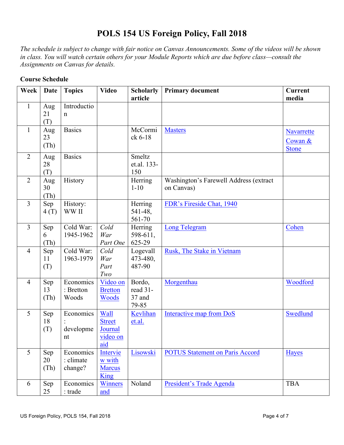# **POLS 154 US Foreign Policy, Fall 2018**

*The schedule is subject to change with fair notice on Canvas Announcements. Some of the videos will be shown in class. You will watch certain others for your Module Reports which are due before class—consult the Assignments on Canvas for details.*

| Week           | <b>Date</b>       | <b>Topics</b>                     | <b>Video</b>                                        | <b>Scholarly</b><br>article           | <b>Primary document</b>                              | <b>Current</b><br>media               |
|----------------|-------------------|-----------------------------------|-----------------------------------------------------|---------------------------------------|------------------------------------------------------|---------------------------------------|
| $\mathbf{1}$   | Aug<br>21<br>(T)  | Introductio<br>$\mathbf n$        |                                                     |                                       |                                                      |                                       |
| $\mathbf{1}$   | Aug<br>23<br>(Th) | <b>Basics</b>                     |                                                     | McCormi<br>ck 6-18                    | <b>Masters</b>                                       | Navarrette<br>Cowan &<br><b>Stone</b> |
| $\overline{2}$ | Aug<br>28<br>(T)  | <b>Basics</b>                     |                                                     | Smeltz<br>et.al. 133-<br>150          |                                                      |                                       |
| $\overline{2}$ | Aug<br>30<br>(Th) | History                           |                                                     | Herring<br>$1 - 10$                   | Washington's Farewell Address (extract<br>on Canvas) |                                       |
| $\overline{3}$ | Sep<br>4(T)       | History:<br>WW II                 |                                                     | Herring<br>541-48,<br>561-70          | FDR's Fireside Chat, 1940                            |                                       |
| $\overline{3}$ | Sep<br>6<br>(Th)  | Cold War:<br>1945-1962            | Cold<br>War<br>Part One                             | Herring<br>598-611,<br>625-29         | Long Telegram                                        | Cohen                                 |
| $\overline{4}$ | Sep<br>11<br>(T)  | Cold War:<br>1963-1979            | Cold<br>War<br>Part<br>Two                          | Logevall<br>473-480,<br>487-90        | Rusk, The Stake in Vietnam                           |                                       |
| $\overline{4}$ | Sep<br>13<br>(Th) | Economics<br>: Bretton<br>Woods   | Video on<br><b>Bretton</b><br>Woods                 | Bordo,<br>read 31-<br>37 and<br>79-85 | Morgenthau                                           | Woodford                              |
| 5              | Sep<br>18<br>(T)  | Economics<br>developme<br>nt      | Wall<br><b>Street</b><br>Journal<br>video on<br>aid | Kevlihan<br>et.al.                    | Interactive map from DoS                             | Swedlund                              |
| 5              | Sep<br>20<br>(Th) | Economics<br>: climate<br>change? | Intervie<br>w with<br><b>Marcus</b><br><b>King</b>  | Lisowski                              | <b>POTUS Statement on Paris Accord</b>               | <b>Hayes</b>                          |
| 6              | Sep<br>25         | Economics<br>: trade              | Winners<br>and                                      | Noland                                | President's Trade Agenda                             | <b>TBA</b>                            |

## **Course Schedule**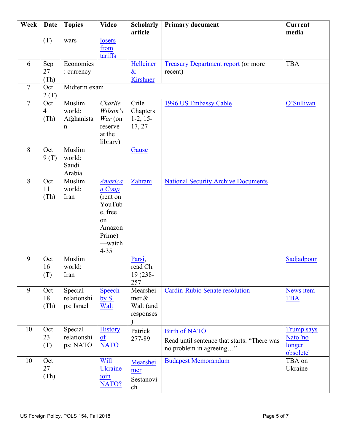| Week           | <b>Date</b>                   | <b>Topics</b>                                 | <b>Video</b>                                                                                                       | <b>Scholarly</b><br>article                       | <b>Primary document</b>                                                                        | <b>Current</b><br>media                              |
|----------------|-------------------------------|-----------------------------------------------|--------------------------------------------------------------------------------------------------------------------|---------------------------------------------------|------------------------------------------------------------------------------------------------|------------------------------------------------------|
|                | (T)                           | wars                                          | losers<br>from<br>tariffs                                                                                          |                                                   |                                                                                                |                                                      |
| 6              | Sep<br>27<br>(Th)             | Economics<br>: currency                       |                                                                                                                    | Helleiner<br>$\boldsymbol{\&}$<br><b>Kirshner</b> | <b>Treasury Department report (or more</b><br>recent)                                          | <b>TBA</b>                                           |
| $\overline{7}$ | Oct<br>2(T)                   | Midterm exam                                  |                                                                                                                    |                                                   |                                                                                                |                                                      |
| $\overline{7}$ | Oct<br>$\overline{4}$<br>(Th) | Muslim<br>world:<br>Afghanista<br>$\mathbf n$ | Charlie<br>Wilson's<br>$War$ (on<br>reserve<br>at the<br>library)                                                  | Crile<br>Chapters<br>$1-2, 15-$<br>17, 27         | 1996 US Embassy Cable                                                                          | O'Sullivan                                           |
| 8              | Oct<br>9(T)                   | Muslim<br>world:<br>Saudi<br>Arabia           |                                                                                                                    | Gause                                             |                                                                                                |                                                      |
| 8              | Oct<br>11<br>(Th)             | Muslim<br>world:<br>Iran                      | <b>America</b><br>$n \text{Coup}$<br>(rent on<br>YouTub<br>e, free<br>on<br>Amazon<br>Prime)<br>—watch<br>$4 - 35$ | Zahrani                                           | <b>National Security Archive Documents</b>                                                     |                                                      |
| 9              | Oct<br>16<br>(T)              | Muslim<br>world:<br>Iran                      |                                                                                                                    | Parsi,<br>read Ch.<br>19 (238-<br>257             |                                                                                                | Sadjadpour                                           |
| 9              | Oct<br>18<br>(Th)             | Special<br>relationshi<br>ps: Israel          | Speech<br>by S.<br>Walt                                                                                            | Mearshei<br>mer $\&$<br>Walt (and<br>responses    | <b>Cardin-Rubio Senate resolution</b>                                                          | News item<br><b>TBA</b>                              |
| 10             | Oct<br>23<br>(T)              | Special<br>relationshi<br>ps: NATO            | <b>History</b><br>of<br><b>NATO</b>                                                                                | Patrick<br>277-89                                 | <b>Birth of NATO</b><br>Read until sentence that starts: "There was<br>no problem in agreeing" | <b>Trump says</b><br>Nato 'no<br>longer<br>obsolete' |
| 10             | Oct<br>27<br>(Th)             |                                               | Will<br><b>Ukraine</b><br>join<br>NATO?                                                                            | Mearshei<br>mer<br>Sestanovi<br>ch                | <b>Budapest Memorandum</b>                                                                     | TBA on<br>Ukraine                                    |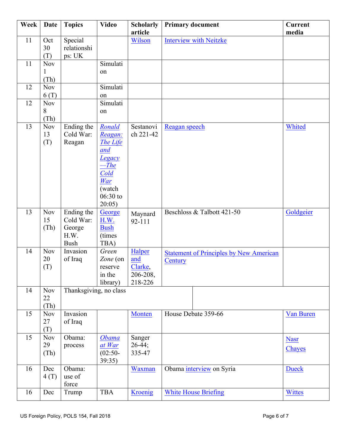| Week | <b>Date</b>              | <b>Topics</b>                                            | <b>Video</b>                                                                                               | <b>Scholarly</b><br>article                     | <b>Primary document</b>                                   | <b>Current</b><br>media |
|------|--------------------------|----------------------------------------------------------|------------------------------------------------------------------------------------------------------------|-------------------------------------------------|-----------------------------------------------------------|-------------------------|
| 11   | Oct<br>30<br>(T)         | Special<br>relationshi<br>ps: UK                         |                                                                                                            | Wilson                                          | <b>Interview with Neitzke</b>                             |                         |
| 11   | Nov<br>(Th)              |                                                          | Simulati<br>on                                                                                             |                                                 |                                                           |                         |
| 12   | <b>Nov</b><br>6(T)       |                                                          | Simulati<br>on                                                                                             |                                                 |                                                           |                         |
| 12   | <b>Nov</b><br>8<br>(Th)  |                                                          | Simulati<br>on                                                                                             |                                                 |                                                           |                         |
| 13   | <b>Nov</b><br>13<br>(T)  | Ending the<br>Cold War:<br>Reagan                        | Ronald<br>Reagan:<br>The Life<br>and<br>Legacy<br>$-$ The<br>Cold<br>War<br>(watch<br>$06:30$ to<br>20:05) | Sestanovi<br>ch 221-42                          | Reagan speech                                             | Whited                  |
| 13   | <b>Nov</b><br>15<br>(Th) | Ending the<br>Cold War:<br>George<br>H.W.<br><b>Bush</b> | George<br>H.W.<br><b>Bush</b><br>(times)<br>TBA)                                                           | Maynard<br>92-111                               | Beschloss & Talbott 421-50                                | Goldgeier               |
| 14   | <b>Nov</b><br>20<br>(T)  | Invasion<br>of Iraq                                      | Green<br>Zone (on<br>reserve<br>in the<br>library)                                                         | Halper<br>and<br>Clarke,<br>206-208,<br>218-226 | <b>Statement of Principles by New American</b><br>Century |                         |
| 14   | <b>Nov</b><br>22<br>(Th) | Thanksgiving, no class                                   |                                                                                                            |                                                 |                                                           |                         |
| 15   | <b>Nov</b><br>27<br>(T)  | Invasion<br>of Iraq                                      |                                                                                                            | <b>Monten</b>                                   | House Debate 359-66                                       | Van Buren               |
| 15   | <b>Nov</b><br>29<br>(Th) | Obama:<br>process                                        | <b>Obama</b><br>at War<br>$(02:50 -$<br>39:35)                                                             | Sanger<br>$26-44;$<br>335-47                    |                                                           | <b>Nasr</b><br>Chayes   |
| 16   | Dec<br>4(T)              | Obama:<br>use of<br>force                                |                                                                                                            | Waxman                                          | Obama interview on Syria                                  | <b>Dueck</b>            |
| 16   | Dec                      | Trump                                                    | <b>TBA</b>                                                                                                 | Kroenig                                         | <b>White House Briefing</b>                               | <b>Wittes</b>           |